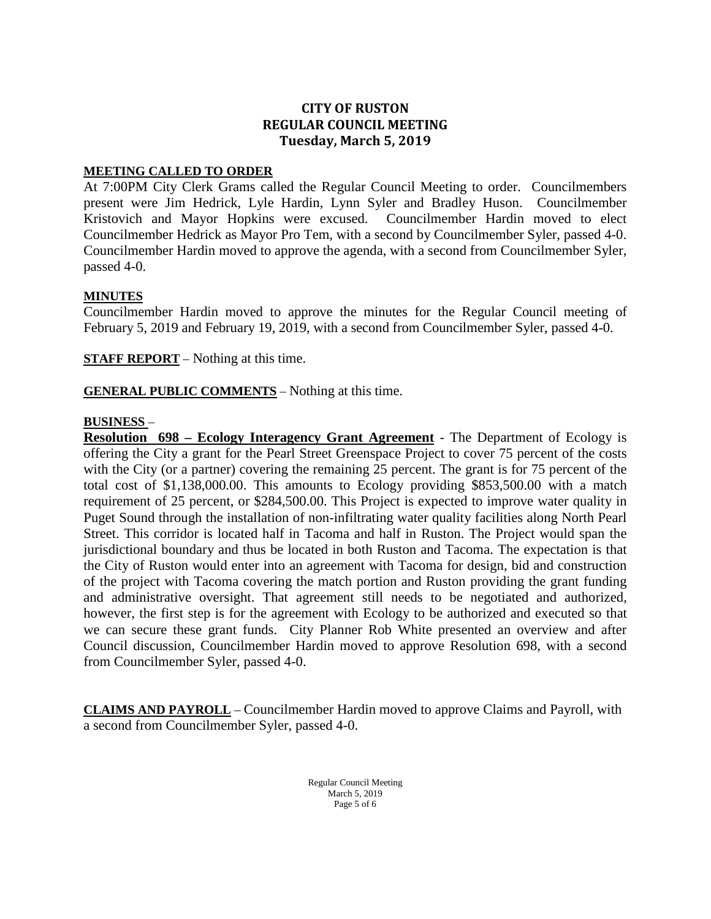# **CITY OF RUSTON REGULAR COUNCIL MEETING Tuesday, March 5, 2019**

#### **MEETING CALLED TO ORDER**

At 7:00PM City Clerk Grams called the Regular Council Meeting to order. Councilmembers present were Jim Hedrick, Lyle Hardin, Lynn Syler and Bradley Huson. Councilmember Kristovich and Mayor Hopkins were excused. Councilmember Hardin moved to elect Councilmember Hedrick as Mayor Pro Tem, with a second by Councilmember Syler, passed 4-0. Councilmember Hardin moved to approve the agenda, with a second from Councilmember Syler, passed 4-0.

### **MINUTES**

Councilmember Hardin moved to approve the minutes for the Regular Council meeting of February 5, 2019 and February 19, 2019, with a second from Councilmember Syler, passed 4-0.

**STAFF REPORT** – Nothing at this time.

**GENERAL PUBLIC COMMENTS** – Nothing at this time.

#### **BUSINESS** –

**Resolution 698 – Ecology Interagency Grant Agreement** - The Department of Ecology is offering the City a grant for the Pearl Street Greenspace Project to cover 75 percent of the costs with the City (or a partner) covering the remaining 25 percent. The grant is for 75 percent of the total cost of \$1,138,000.00. This amounts to Ecology providing \$853,500.00 with a match requirement of 25 percent, or \$284,500.00. This Project is expected to improve water quality in Puget Sound through the installation of non-infiltrating water quality facilities along North Pearl Street. This corridor is located half in Tacoma and half in Ruston. The Project would span the jurisdictional boundary and thus be located in both Ruston and Tacoma. The expectation is that the City of Ruston would enter into an agreement with Tacoma for design, bid and construction of the project with Tacoma covering the match portion and Ruston providing the grant funding and administrative oversight. That agreement still needs to be negotiated and authorized, however, the first step is for the agreement with Ecology to be authorized and executed so that we can secure these grant funds. City Planner Rob White presented an overview and after Council discussion, Councilmember Hardin moved to approve Resolution 698, with a second from Councilmember Syler, passed 4-0.

**CLAIMS AND PAYROLL** – Councilmember Hardin moved to approve Claims and Payroll, with a second from Councilmember Syler, passed 4-0.

> Regular Council Meeting March 5, 2019 Page 5 of 6